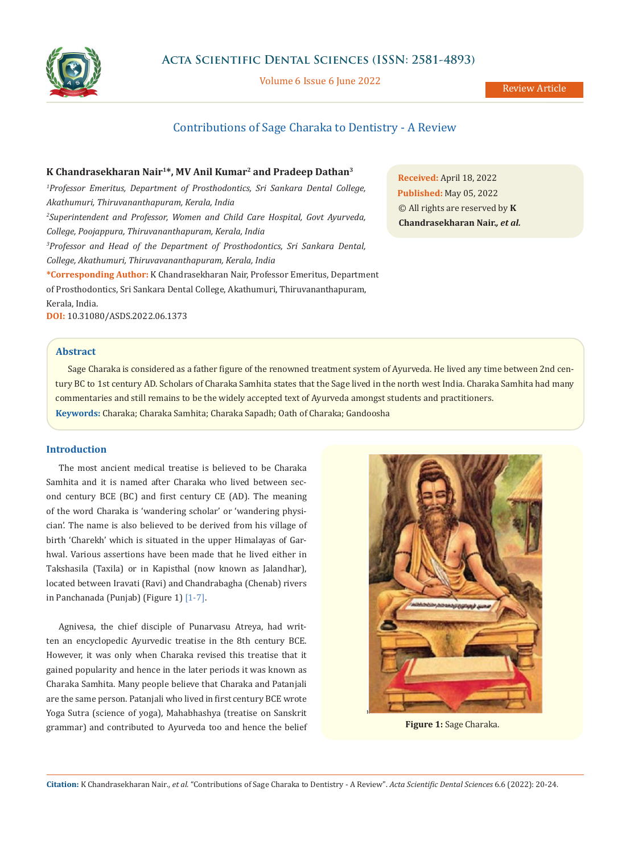

Volume 6 Issue 6 June 2022

# Contributions of Sage Charaka to Dentistry - A Review

# **K Chandrasekharan Nair1\*, MV Anil Kumar2 and Pradeep Dathan3**

*1 Professor Emeritus, Department of Prosthodontics, Sri Sankara Dental College, Akathumuri, Thiruvananthapuram, Kerala, India 2 Superintendent and Professor, Women and Child Care Hospital, Govt Ayurveda, College, Poojappura, Thiruvananthapuram, Kerala, India 3 Professor and Head of the Department of Prosthodontics, Sri Sankara Dental, College, Akathumuri, Thiruvavananthapuram, Kerala, India* **\*Corresponding Author:** K Chandrasekharan Nair, Professor Emeritus, Department of Prosthodontics, Sri Sankara Dental College, Akathumuri, Thiruvananthapuram, Kerala, India. **DOI:** [10.31080/ASDS.2022.06.1373](https://actascientific.com/ASDS/pdf/ASDS-06-1373.pdf)

**Received:** April 18, 2022 **Published:** May 05, 2022 © All rights are reserved by **K Chandrasekharan Nair.***, et al.*

# **Abstract**

Sage Charaka is considered as a father figure of the renowned treatment system of Ayurveda. He lived any time between 2nd century BC to 1st century AD. Scholars of Charaka Samhita states that the Sage lived in the north west India. Charaka Samhita had many commentaries and still remains to be the widely accepted text of Ayurveda amongst students and practitioners.

**Keywords:** Charaka; Charaka Samhita; Charaka Sapadh; Oath of Charaka; Gandoosha

# **Introduction**

The most ancient medical treatise is believed to be Charaka Samhita and it is named after Charaka who lived between second century BCE (BC) and first century CE (AD). The meaning of the word Charaka is 'wandering scholar' or 'wandering physician'. The name is also believed to be derived from his village of birth 'Charekh' which is situated in the upper Himalayas of Garhwal. Various assertions have been made that he lived either in Takshasila (Taxila) or in Kapisthal (now known as Jalandhar), located between Iravati (Ravi) and Chandrabagha (Chenab) rivers in Panchanada (Punjab) (Figure 1) [1-7].

Agnivesa, the chief disciple of Punarvasu Atreya, had written an encyclopedic Ayurvedic treatise in the 8th century BCE. However, it was only when Charaka revised this treatise that it gained popularity and hence in the later periods it was known as Charaka Samhita. Many people believe that Charaka and Patanjali are the same person. Patanjali who lived in first century BCE wrote Yoga Sutra (science of yoga), Mahabhashya (treatise on Sanskrit grammar) and contributed to Ayurveda too and hence the belief **Figure 1:** Sage Charaka.



**Citation:** K Chandrasekharan Nair*., et al.* "Contributions of Sage Charaka to Dentistry - A Review". *Acta Scientific Dental Sciences* 6.6 (2022): 20-24.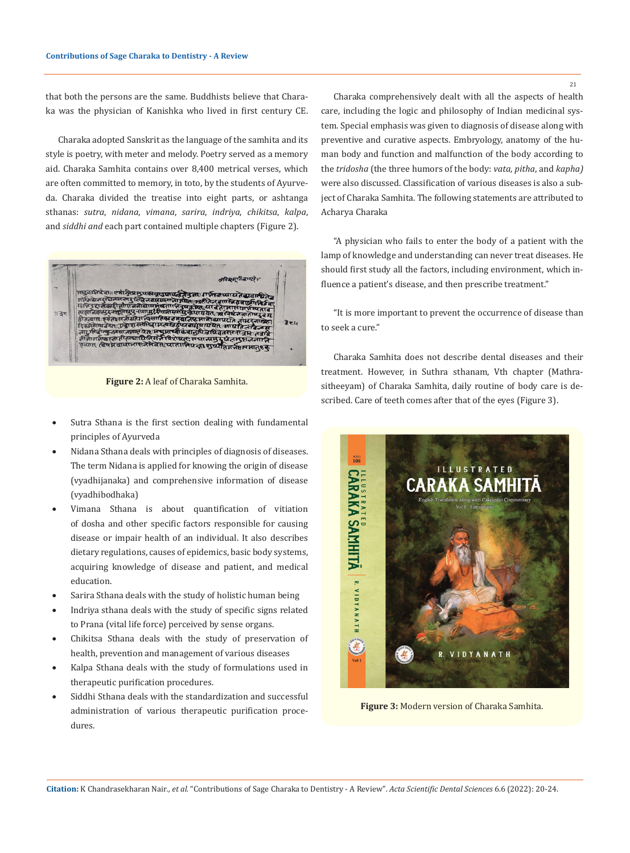that both the persons are the same. Buddhists believe that Charaka was the physician of Kanishka who lived in first century CE.

Charaka adopted Sanskrit as the language of the samhita and its style is poetry, with meter and melody. Poetry served as a memory aid. Charaka Samhita contains over 8,400 metrical verses, which are often committed to memory, in toto, by the students of Ayurveda. Charaka divided the [treatise](https://www.merriam-webster.com/dictionary/treatise) into eight parts, or ashtanga sthanas: *sutra*, *nidana*, *vimana*, *sarira*, *indriya*, *chikitsa*, *kalpa*, and *siddhi and* each part contained multiple chapters (Figure 2).



**Figure 2:** A leaf of Charaka Samhita.

- Sutra Sthana is the first section dealing with fundamental principles of Ayurveda
- Nidana Sthana deals with principles of diagnosis of diseases. The term Nidana is applied for knowing the origin of disease (vyadhijanaka) and comprehensive information of disease (vyadhibodhaka)
- Vimana Sthana is about quantification of vitiation of dosha and other specific factors responsible for causing disease or impair health of an individual. It also describes dietary regulations, causes of epidemics, basic body systems, acquiring knowledge of disease and patient, and medical education.
- Sarira Sthana deals with the study of holistic human being
- Indriya sthana deals with the study of specific signs related to Prana (vital life force) perceived by sense organs.
- Chikitsa Sthana deals with the study of preservation of health, prevention and management of various diseases
- Kalpa Sthana deals with the study of formulations used in therapeutic purification procedures.
- Siddhi Sthana deals with the standardization and successful administration of various therapeutic purification procedures.

Charaka comprehensively dealt with all the aspects of health care, including the logic and philosophy of Indian medicinal system. Special emphasis was given to diagnosis of disease along with preventive and curative aspects. Embryology, anatomy of the human body and function and malfunction of the body according to the *tridosha* (the three humors of the body: *vata, pitha*, and *kapha)*  were also discussed. Classification of various diseases is also a subject of Charaka Samhita. The following statements are attributed to Acharya Charaka

"A physician who fails to enter the body of a patient with the lamp of knowledge and understanding can never treat diseases. He should first study all the factors, including environment, which influence a patient's disease, and then prescribe treatment."

"It is more important to prevent the occurrence of disease than to seek a cure."

Charaka Samhita does not describe dental diseases and their treatment. However, in Suthra sthanam, Vth chapter (Mathrasitheeyam) of Charaka Samhita, daily routine of body care is described. Care of teeth comes after that of the eyes (Figure 3).



**Figure 3:** Modern version of Charaka Samhita.

**Citation:** K Chandrasekharan Nair*., et al.* "Contributions of Sage Charaka to Dentistry - A Review". *Acta Scientific Dental Sciences* 6.6 (2022): 20-24.

21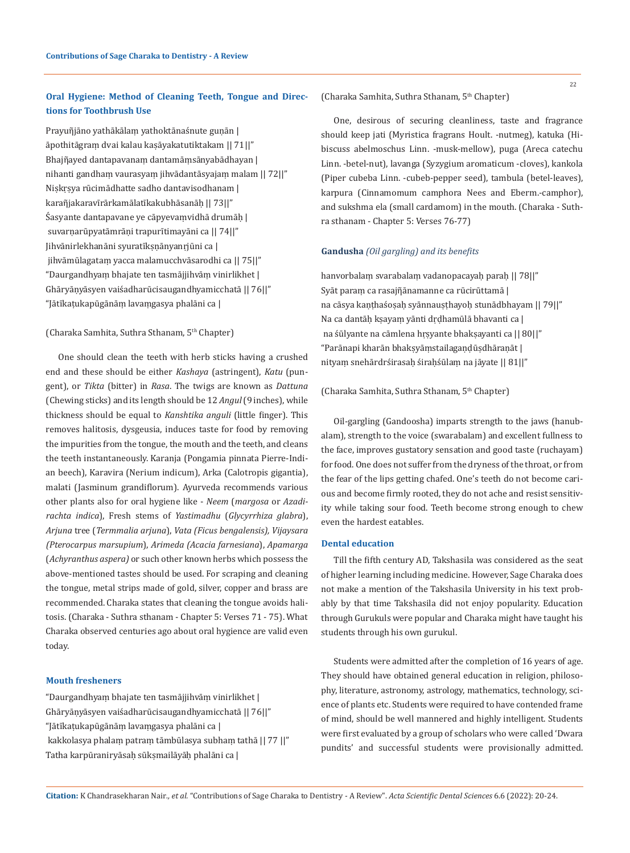# **Oral Hygiene: Method of Cleaning Teeth, Tongue and Directions for Toothbrush Use**

Prayuñjāno yathākālam yathoktānaśnute gunān | āpothitāgraṃ dvai kalau kaṣāyakatutiktakam || 71||" Bhajῆayed dantapavanaṃ dantamāṃsānyabādhayan | nihanti gandhaṃ vaurasyaṃ jihvādantāsyajaṃ malam || 72||" Niṣkṛṣya rūcimādhatte sadho dantavisodhanam | karaῆjakaravīrārkamālatīkakubhāsanāḥ || 73||" Śasyante dantapavane ye cāpyevaṃvidhā drumāḥ | suvarṇarūpyatāmrāṇi trapurītimayāni ca || 74||" Jihvānirlekhanāni syuratīkṣṇānyanṛjūni ca | jihvāmūlagataṃ yacca malamucchvāsarodhi ca || 75||" "Daurgandhyaṃ bhajate ten tasmājjihvāṃ vinirlikhet | Ghāryāṇyāsyen vaiśadharūcisaugandhyamicchatā || 76||" "Jātīkaṭukapūgānāṃ lavaṃgasya phalāni ca |

# (Charaka Samhita, Suthra Sthanam, 5th Chapter)

One should clean the teeth with herb sticks having a crushed end and these should be either *Kashaya* (astringent), *Katu* (pungent), or *Tikta* (bitter) in *Rasa*. The twigs are known as *Dattuna* (Chewing sticks) and its length should be 12 *Angul* (9 inches), while thickness should be equal to *Kanshtika anguli* (little finger). This removes halitosis, dysgeusia, induces taste for food by removing the impurities from the tongue, the mouth and the teeth, and cleans the teeth instantaneously. Karanja (Pongamia pinnata Pierre-Indian beech), Karavira (Nerium indicum), Arka (Calotropis gigantia), malati (Jasminum grandiflorum). Ayurveda recommends various other plants also for oral hygiene like - *Neem* (*margosa* or *Azadirachta indica*), Fresh stems of *Yastimadhu* (*Glycyrrhiza glabra*), *Arjuna* tree (*Termmalia arjuna*), *Vata (Ficus bengalensis), Vijaysara (Pterocarpus marsupium*), *Arimeda (Acacia farnesiana*), *Apamarga*  (*Achyranthus aspera)* or such other known herbs which possess the above-mentioned tastes should be used. For scraping and cleaning the tongue, metal strips made of gold, silver, copper and brass are recommended. Charaka states that cleaning the tongue avoids halitosis. (Charaka - Suthra sthanam - Chapter 5: Verses 71 - 75). What Charaka observed centuries ago about oral hygience are valid even today.

### **Mouth fresheners**

"Daurgandhyaṃ bhajate ten tasmājjihvāṃ vinirlikhet | Ghāryāṇyāsyen vaiśadharūcisaugandhyamicchatā || 76||" "Jātīkaṭukapūgānāṃ lavaṃgasya phalāni ca | kakkolasya phalaṃ patraṃ tāmbūlasya subhaṃ tathā || 77 ||" Tatha karpūraniryāsaḥ sūkṣmailāyāḥ phalāni ca |

One, desirous of securing cleanliness, taste and fragrance should keep jati (Myristica fragrans Hoult. -nutmeg), katuka (Hibiscuss abelmoschus Linn. -musk-mellow), puga (Areca catechu Linn. -betel-nut), lavanga (Syzygium aromaticum -cloves), kankola (Piper cubeba Linn. -cubeb-pepper seed), tambula (betel-leaves), karpura (Cinnamomum camphora Nees and Eberm.-camphor), and sukshma ela (small cardamom) in the mouth. (Charaka - Suthra sthanam - Chapter 5: Verses 76-77)

# **Gandusha** *(Oil gargling) and its benefits*

hanvorbalaṃ svarabalaṃ vadanopacayaḥ paraḥ || 78||" Syāt paraṃ ca rasajῆānamanne ca rūcirūttamā | na cāsya kaṇṭhaśoṣaḥ syānnauṣṭhayoḥ stunādbhayam || 79||" Na ca dantāḥ kṣayaṃ yānti dṛḍhamūlā bhavanti ca | na śūlyante na cāmlena hṛṣyante bhakṣayanti ca || 80||" "Parānapi kharān bhakṣyāṃstailagaṇḍūṣdhāraṇāt | nityaṃ snehārdrśirasaḥ śiraḥśūlaṃ na jāyate || 81||"

#### (Charaka Samhita, Suthra Sthanam, 5<sup>th</sup> Chapter)

Oil-gargling (Gandoosha) imparts strength to the jaws (hanubalam), strength to the voice (swarabalam) and excellent fullness to the face, improves gustatory sensation and good taste (ruchayam) for food. One does not suffer from the dryness of the throat, or from the fear of the lips getting chafed. One's teeth do not become carious and become firmly rooted, they do not ache and resist sensitivity while taking sour food. Teeth become strong enough to chew even the hardest eatables.

# **Dental education**

Till the fifth century AD, Takshasila was considered as the seat of higher learning including medicine. However, Sage Charaka does not make a mention of the Takshasila University in his text probably by that time Takshasila did not enjoy popularity. Education through Gurukuls were popular and Charaka might have taught his students through his own gurukul.

Students were admitted after the completion of 16 years of age. They should have obtained general education in religion, philosophy, literature, astronomy, astrology, mathematics, technology, science of plants etc. Students were required to have contended frame of mind, should be well mannered and highly intelligent. Students were first evaluated by a group of scholars who were called 'Dwara pundits' and successful students were provisionally admitted.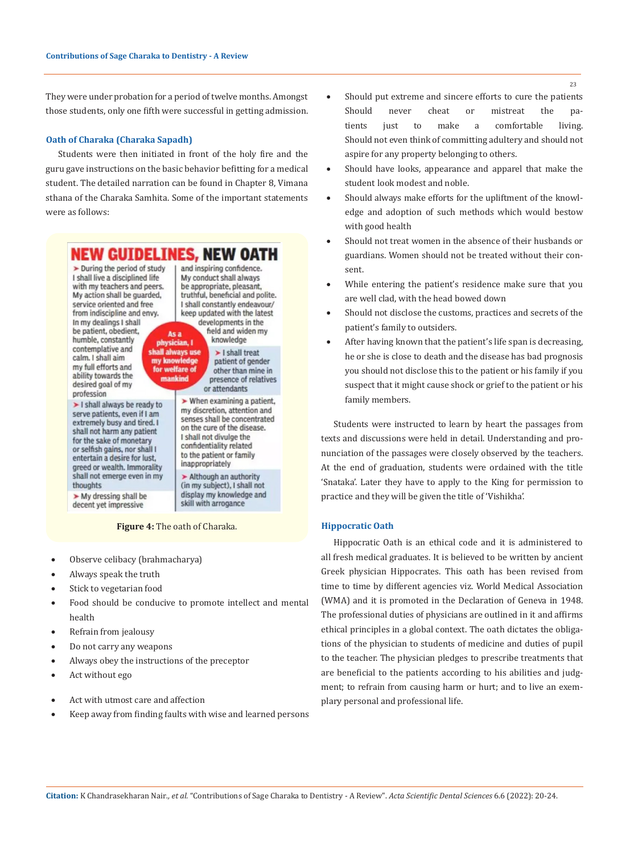They were under probation for a period of twelve months. Amongst those students, only one fifth were successful in getting admission.

# **Oath of Charaka (Charaka Sapadh)**

Students were then initiated in front of the holy fire and the guru gave instructions on the basic behavior befitting for a medical student. The detailed narration can be found in Chapter 8, Vimana sthana of the Charaka Samhita. Some of the important statements were as follows:



#### **Figure 4:** The oath of Charaka.

- Observe celibacy (brahmacharya)
- Always speak the truth
- Stick to vegetarian food
- Food should be conducive to promote intellect and mental health
- Refrain from jealousy
- Do not carry any weapons
- Always obey the instructions of the preceptor
- Act without ego
- Act with utmost care and affection
- Keep away from finding faults with wise and learned persons
- Should put extreme and sincere efforts to cure the patients Should never cheat or mistreat the patients just to make a comfortable living. Should not even think of committing adultery and should not aspire for any property belonging to others.
- Should have looks, appearance and apparel that make the student look modest and noble.
- Should always make efforts for the upliftment of the knowledge and adoption of such methods which would bestow with good health
- Should not treat women in the absence of their husbands or guardians. Women should not be treated without their consent.
- While entering the patient's residence make sure that you are well clad, with the head bowed down
- Should not disclose the customs, practices and secrets of the patient's family to outsiders.
- After having known that the patient's life span is decreasing, he or she is close to death and the disease has bad prognosis you should not disclose this to the patient or his family if you suspect that it might cause shock or grief to the patient or his family members.

Students were instructed to learn by heart the passages from texts and discussions were held in detail. Understanding and pronunciation of the passages were closely observed by the teachers. At the end of graduation, students were ordained with the title 'Snataka'. Later they have to apply to the King for permission to practice and they will be given the title of 'Vishikha'.

#### **Hippocratic Oath**

Hippocratic Oath is an ethical code and it is administered to all fresh medical graduates. It is believed to be written by ancient Greek physician Hippocrates. This oath has been revised from time to time by different agencies viz. World Medical Association (WMA) and it is promoted in the Declaration of Geneva in 1948. The professional duties of physicians are outlined in it and affirms ethical principles in a global context. The oath dictates the obligations of the physician to students of medicine and duties of pupil to the teacher. The physician pledges to prescribe treatments that are beneficial to the patients according to his abilities and judgment; to refrain from causing harm or hurt; and to live an [exem](https://www.merriam-webster.com/dictionary/exemplary)[plary](https://www.merriam-webster.com/dictionary/exemplary) personal and professional life.

**Citation:** K Chandrasekharan Nair*., et al.* "Contributions of Sage Charaka to Dentistry - A Review". *Acta Scientific Dental Sciences* 6.6 (2022): 20-24.

23